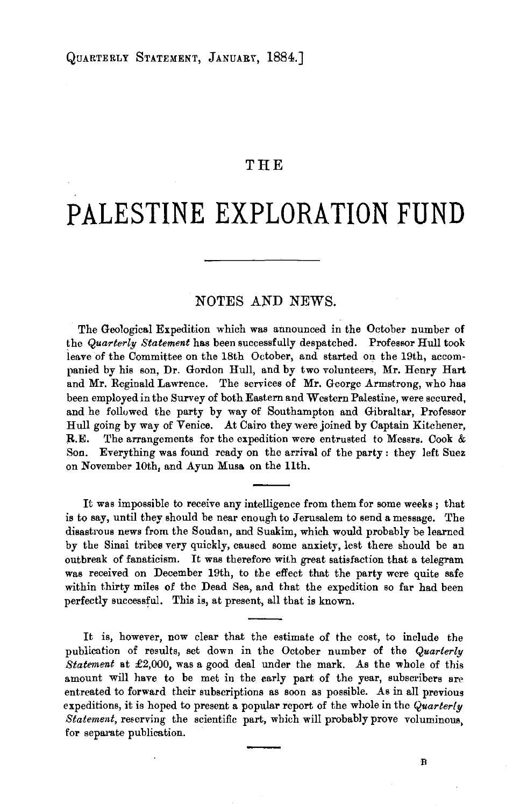## **THE**

## **PALESTINE EXPLORATION FUND**

## NOTES AND NEWS.

The Geological Expedition which was announced in the October number of the *Quarterly Statement* has been successfully despatched. Professor Hull took leave of the Committee on the 18th October, and started on the 19th, accompanied by his son, Dr. Gordon Hull, and by two volunteers, Mr. Henry Hart and Mr. Reginald Lawrence. The services of Mr. George Armstrong, who has been employed in the Survey of both Eastern and Western Palestine, were secured, and he followed the party by way of Southampton and Gibraltar, Professor Hull going by way of Venice. At Cairo they were joined by Captain Kitchener, R.E. The arrangements for the expedition were entrusted to Messrs. Cook & Son. Everything was found ready on the arrival of the party : they left Suez on November lOth, and Ayun Musa on the 11th.

It was impossible to receive any intelligence from them for some weeks; that is to say, until they should be near enough to Jerusalem to send a message. The disastrous news from the Soudan, and Suakim, which would probably be learned by the Sinai tribes very quickly, caused some anxiety, lest there should be an outbreak of fanaticism. It was therefore with great satisfaction that a telegram was received on December 19th, to the effect that the party were quite safe within thirty miles of the Dead Sea, and that the expedition so far had been perfectly successful. This is, at present, all that is known.

It is, however, now clear that the estimate of the cost, to include the publication of results, set down in the October number of the *Quarterly Statement* at £2,000, was a good deal under the mark. As the whole of this amount will have to be met in the early part of the year, subscribers are entreated to forward their subscriptions as soon as possible. As in all previous expeditions, it is hoped to present a popular report of the whole in the *Quarterly Statement*, reserving the scientific part, which will probably prove voluminous, for separate publication.

B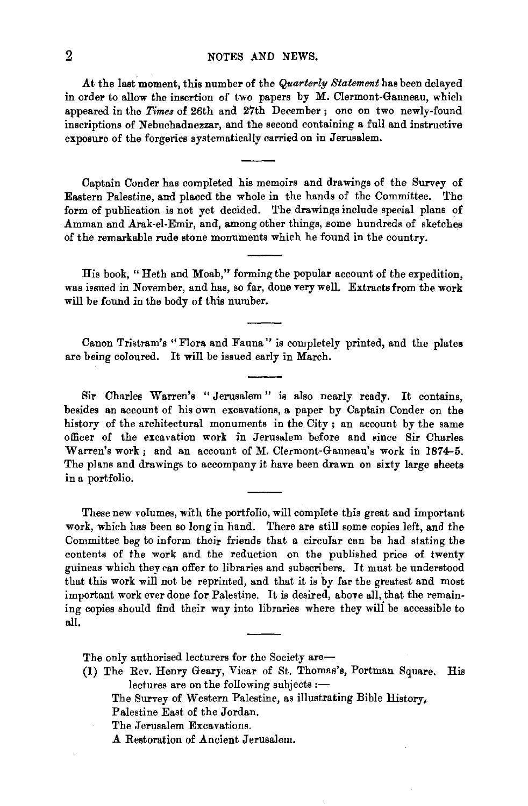## 2 NOTES AND NEWS.

At the last moment, this number of the *Quarterly Statement* has been delayed in order to allow the insertion of two papers by M. Clermont·Ganneau, which appeared in the *Times* of 26th and 27th December; one on two newly-found inscriptions of Nebuchadnezzar, and the second containing a full and instructive exposure of the forgeries systematically carried on in Jerusalem.

Captain Conder has completed his memoirs and drawings of the Survey of Eastern Palestine, and placed the whole in the hands of the Committee. The form of publication is not yet decided. The drawings include special plans of Amman and Arak-el-Emir, and, among other things, some hundreds of sketches of the remarkable rude stone monuments which he found in the country.

His book, "Heth and Moab," forming the popular account of the expedition. was issued in November, and has, so far, done very well. Extracts from the work will be found in the body of this number.

Canon Tristram's "Flora and Fauna" is completely printed, and the plates are being coloured. It will be issued early in March.

Sir Charles Warren's "Jerusalem" is also nearly ready. It contains, besides an account of his own excavations, a paper by Captain Conder on the history of the architectural monuments in the City ; an account by the same officer of the excavation work in Jerusalem before and since Sir Charles Warren's work; and an account of M. Clermont·Ganneau's work in 1874-5. The plans and drawings to accompany it have been drawn on sixty large sheets in a portfolio.

These new volumes, with the portfolio, will complete this great and important work, which has been so long in hand. There are still some copies left, and the Committee beg to inform their friends that a circular can be had stating the contents of the work and the reduction on the published price of twenty guineas which they can offer to libraries and subscribers. It must be understood that this work will not be reprinted, and that it is by far the greatest and most important work ever done for Palestine. It is desired, above all, that the remaining copies should find their way into libraries where they will be accessible to all.

The only authorised lecturers for the Society are-

- (1) The Rev. Henry Geary, Vicar of St. Thomas's, Portman Square. His lectures are on the following subjects :-
	- The Survey of Western Palestine, as illustrating Bible History,

Palestine East of the Jordan.

The Jerusalem Excavations.

A Restoration of Ancient Jerusalem.